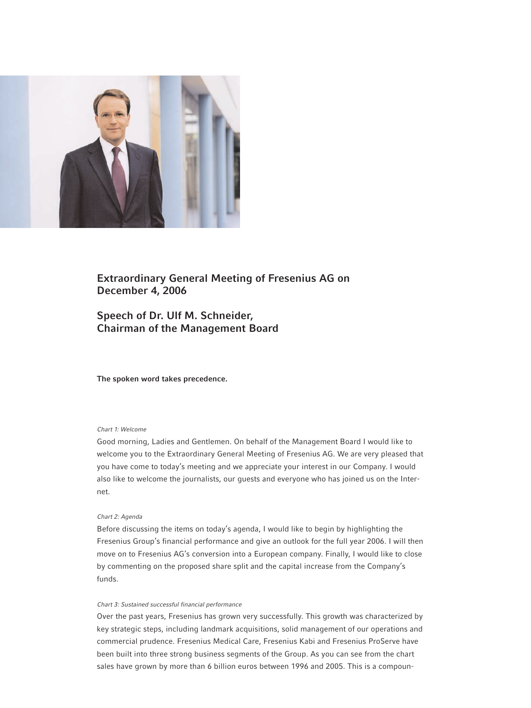

# **Extraordinary General Meeting of Fresenius AG on December 4, 2006**

# **Speech of Dr. Ulf M. Schneider, Chairman of the Management Board**

**The spoken word takes precedence.**

# *Chart 1: Welcome*

Good morning, Ladies and Gentlemen. On behalf of the Management Board I would like to welcome you to the Extraordinary General Meeting of Fresenius AG. We are very pleased that you have come to today's meeting and we appreciate your interest in our Company. I would also like to welcome the journalists, our guests and everyone who has joined us on the Internet.

## *Chart 2: Agenda*

Before discussing the items on today's agenda, I would like to begin by highlighting the Fresenius Group's financial performance and give an outlook for the full year 2006. I will then move on to Fresenius AG's conversion into a European company. Finally, I would like to close by commenting on the proposed share split and the capital increase from the Company's funds.

## *Chart 3: Sustained successful financial performance*

Over the past years, Fresenius has grown very successfully. This growth was characterized by key strategic steps, including landmark acquisitions, solid management of our operations and commercial prudence. Fresenius Medical Care, Fresenius Kabi and Fresenius ProServe have been built into three strong business segments of the Group. As you can see from the chart sales have grown by more than 6 billion euros between 1996 and 2005. This is a compoun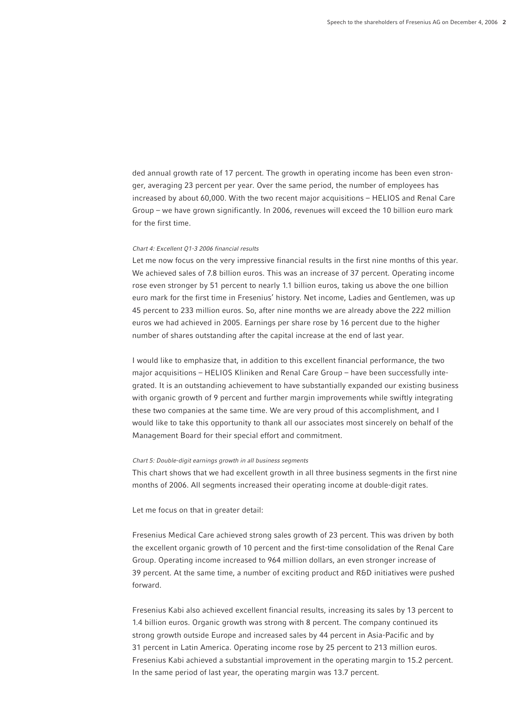ded annual growth rate of 17 percent. The growth in operating income has been even stronger, averaging 23 percent per year. Over the same period, the number of employees has increased by about 60,000. With the two recent major acquisitions – HELIOS and Renal Care Group – we have grown significantly. In 2006, revenues will exceed the 10 billion euro mark for the first time.

## *Chart 4: Excellent Q1-3 2006 financial results*

Let me now focus on the very impressive financial results in the first nine months of this year. We achieved sales of 7.8 billion euros. This was an increase of 37 percent. Operating income rose even stronger by 51 percent to nearly 1.1 billion euros, taking us above the one billion euro mark for the first time in Fresenius' history. Net income, Ladies and Gentlemen, was up 45 percent to 233 million euros. So, after nine months we are already above the 222 million euros we had achieved in 2005. Earnings per share rose by 16 percent due to the higher number of shares outstanding after the capital increase at the end of last year.

I would like to emphasize that, in addition to this excellent financial performance, the two major acquisitions – HELIOS Kliniken and Renal Care Group – have been successfully integrated. It is an outstanding achievement to have substantially expanded our existing business with organic growth of 9 percent and further margin improvements while swiftly integrating these two companies at the same time. We are very proud of this accomplishment, and I would like to take this opportunity to thank all our associates most sincerely on behalf of the Management Board for their special effort and commitment.

#### *Chart 5: Double-digit earnings growth in all business segments*

This chart shows that we had excellent growth in all three business segments in the first nine months of 2006. All segments increased their operating income at double-digit rates.

Let me focus on that in greater detail:

Fresenius Medical Care achieved strong sales growth of 23 percent. This was driven by both the excellent organic growth of 10 percent and the first-time consolidation of the Renal Care Group. Operating income increased to 964 million dollars, an even stronger increase of 39 percent. At the same time, a number of exciting product and R&D initiatives were pushed forward.

Fresenius Kabi also achieved excellent financial results, increasing its sales by 13 percent to 1.4 billion euros. Organic growth was strong with 8 percent. The company continued its strong growth outside Europe and increased sales by 44 percent in Asia-Pacific and by 31 percent in Latin America. Operating income rose by 25 percent to 213 million euros. Fresenius Kabi achieved a substantial improvement in the operating margin to 15.2 percent. In the same period of last year, the operating margin was 13.7 percent.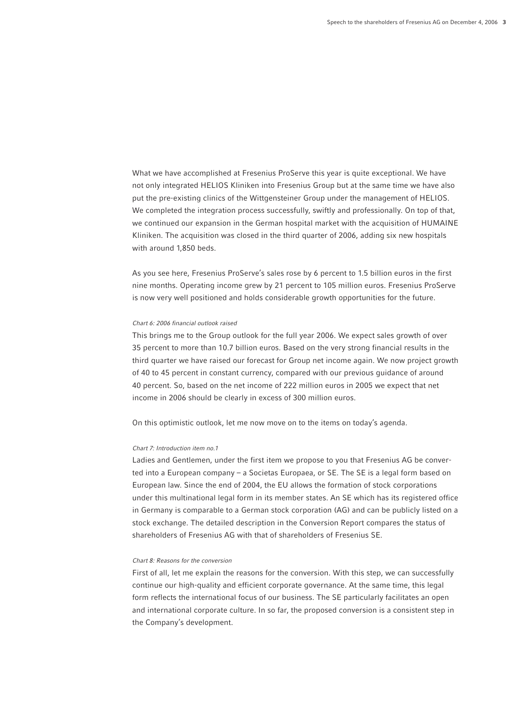What we have accomplished at Fresenius ProServe this year is quite exceptional. We have not only integrated HELIOS Kliniken into Fresenius Group but at the same time we have also put the pre-existing clinics of the Wittgensteiner Group under the management of HELIOS. We completed the integration process successfully, swiftly and professionally. On top of that, we continued our expansion in the German hospital market with the acquisition of HUMAINE Kliniken. The acquisition was closed in the third quarter of 2006, adding six new hospitals with around 1,850 beds.

As you see here, Fresenius ProServe's sales rose by 6 percent to 1.5 billion euros in the first nine months. Operating income grew by 21 percent to 105 million euros. Fresenius ProServe is now very well positioned and holds considerable growth opportunities for the future.

### *Chart 6: 2006 financial outlook raised*

This brings me to the Group outlook for the full year 2006. We expect sales growth of over 35 percent to more than 10.7 billion euros. Based on the very strong financial results in the third quarter we have raised our forecast for Group net income again. We now project growth of 40 to 45 percent in constant currency, compared with our previous guidance of around 40 percent. So, based on the net income of 222 million euros in 2005 we expect that net income in 2006 should be clearly in excess of 300 million euros.

On this optimistic outlook, let me now move on to the items on today's agenda.

# *Chart 7: Introduction item no.1*

Ladies and Gentlemen, under the first item we propose to you that Fresenius AG be converted into a European company – a Societas Europaea, or SE. The SE is a legal form based on European law. Since the end of 2004, the EU allows the formation of stock corporations under this multinational legal form in its member states. An SE which has its registered office in Germany is comparable to a German stock corporation (AG) and can be publicly listed on a stock exchange. The detailed description in the Conversion Report compares the status of shareholders of Fresenius AG with that of shareholders of Fresenius SE.

## *Chart 8: Reasons for the conversion*

First of all, let me explain the reasons for the conversion. With this step, we can successfully continue our high-quality and efficient corporate governance. At the same time, this legal form reflects the international focus of our business. The SE particularly facilitates an open and international corporate culture. In so far, the proposed conversion is a consistent step in the Company's development.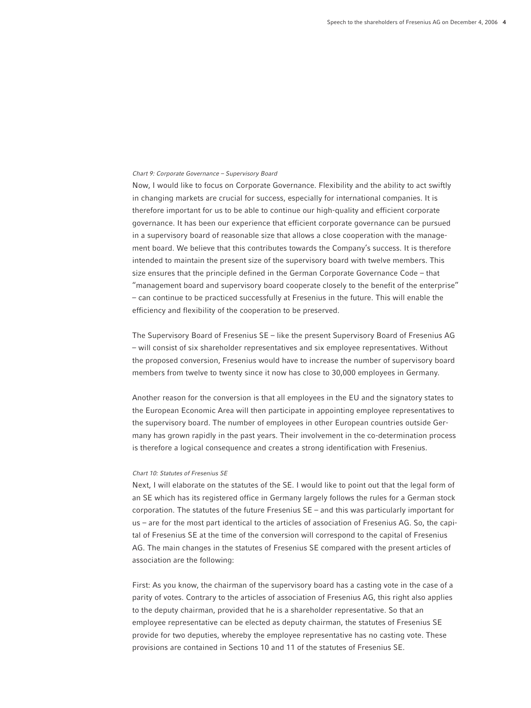### *Chart 9: Corporate Governance – Supervisory Board*

Now, I would like to focus on Corporate Governance. Flexibility and the ability to act swiftly in changing markets are crucial for success, especially for international companies. It is therefore important for us to be able to continue our high-quality and efficient corporate governance. It has been our experience that efficient corporate governance can be pursued in a supervisory board of reasonable size that allows a close cooperation with the management board. We believe that this contributes towards the Company's success. It is therefore intended to maintain the present size of the supervisory board with twelve members. This size ensures that the principle defined in the German Corporate Governance Code – that "management board and supervisory board cooperate closely to the benefit of the enterprise" – can continue to be practiced successfully at Fresenius in the future. This will enable the efficiency and flexibility of the cooperation to be preserved.

The Supervisory Board of Fresenius SE – like the present Supervisory Board of Fresenius AG – will consist of six shareholder representatives and six employee representatives. Without the proposed conversion, Fresenius would have to increase the number of supervisory board members from twelve to twenty since it now has close to 30,000 employees in Germany.

Another reason for the conversion is that all employees in the EU and the signatory states to the European Economic Area will then participate in appointing employee representatives to the supervisory board. The number of employees in other European countries outside Germany has grown rapidly in the past years. Their involvement in the co-determination process is therefore a logical consequence and creates a strong identification with Fresenius.

## *Chart 10: Statutes of Fresenius SE*

Next, I will elaborate on the statutes of the SE. I would like to point out that the legal form of an SE which has its registered office in Germany largely follows the rules for a German stock corporation. The statutes of the future Fresenius SE – and this was particularly important for us – are for the most part identical to the articles of association of Fresenius AG. So, the capital of Fresenius SE at the time of the conversion will correspond to the capital of Fresenius AG. The main changes in the statutes of Fresenius SE compared with the present articles of association are the following:

First: As you know, the chairman of the supervisory board has a casting vote in the case of a parity of votes. Contrary to the articles of association of Fresenius AG, this right also applies to the deputy chairman, provided that he is a shareholder representative. So that an employee representative can be elected as deputy chairman, the statutes of Fresenius SE provide for two deputies, whereby the employee representative has no casting vote. These provisions are contained in Sections 10 and 11 of the statutes of Fresenius SE.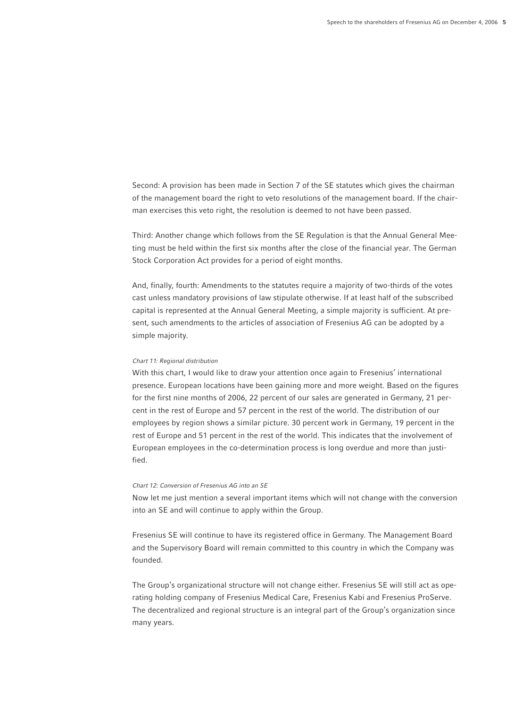Second: A provision has been made in Section 7 of the SE statutes which gives the chairman of the management board the right to veto resolutions of the management board. If the chairman exercises this veto right, the resolution is deemed to not have been passed.

Third: Another change which follows from the SE Regulation is that the Annual General Meeting must be held within the first six months after the close of the financial year. The German Stock Corporation Act provides for a period of eight months.

And, finally, fourth: Amendments to the statutes require a majority of two-thirds of the votes cast unless mandatory provisions of law stipulate otherwise. If at least half of the subscribed capital is represented at the Annual General Meeting, a simple majority is sufficient. At present, such amendments to the articles of association of Fresenius AG can be adopted by a simple majority.

## *Chart 11: Regional distribution*

With this chart, I would like to draw your attention once again to Fresenius' international presence. European locations have been gaining more and more weight. Based on the figures for the first nine months of 2006, 22 percent of our sales are generated in Germany, 21 percent in the rest of Europe and 57 percent in the rest of the world. The distribution of our employees by region shows a similar picture. 30 percent work in Germany, 19 percent in the rest of Europe and 51 percent in the rest of the world. This indicates that the involvement of European employees in the co-determination process is long overdue and more than justified.

## *Chart 12: Conversion of Fresenius AG into an SE*

Now let me just mention a several important items which will not change with the conversion into an SE and will continue to apply within the Group.

Fresenius SE will continue to have its registered office in Germany. The Management Board and the Supervisory Board will remain committed to this country in which the Company was founded.

The Group's organizational structure will not change either. Fresenius SE will still act as operating holding company of Fresenius Medical Care, Fresenius Kabi and Fresenius ProServe. The decentralized and regional structure is an integral part of the Group's organization since many years.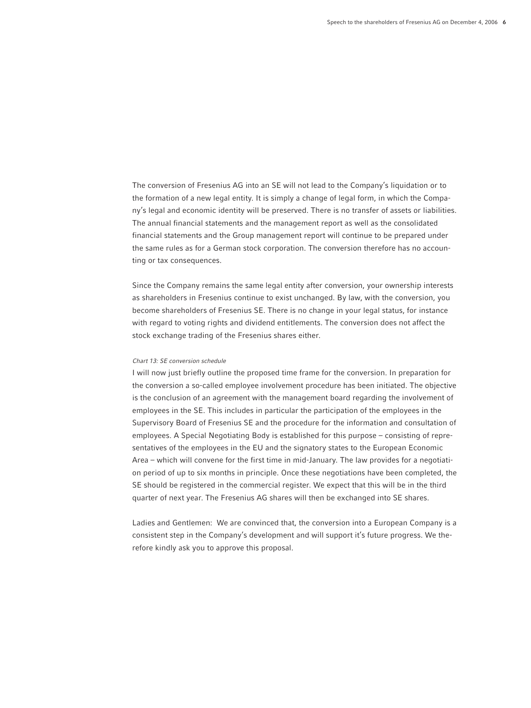The conversion of Fresenius AG into an SE will not lead to the Company's liquidation or to the formation of a new legal entity. It is simply a change of legal form, in which the Company's legal and economic identity will be preserved. There is no transfer of assets or liabilities. The annual financial statements and the management report as well as the consolidated financial statements and the Group management report will continue to be prepared under the same rules as for a German stock corporation. The conversion therefore has no accounting or tax consequences.

Since the Company remains the same legal entity after conversion, your ownership interests as shareholders in Fresenius continue to exist unchanged. By law, with the conversion, you become shareholders of Fresenius SE. There is no change in your legal status, for instance with regard to voting rights and dividend entitlements. The conversion does not affect the stock exchange trading of the Fresenius shares either.

## *Chart 13: SE conversion schedule*

I will now just briefly outline the proposed time frame for the conversion. In preparation for the conversion a so-called employee involvement procedure has been initiated. The objective is the conclusion of an agreement with the management board regarding the involvement of employees in the SE. This includes in particular the participation of the employees in the Supervisory Board of Fresenius SE and the procedure for the information and consultation of employees. A Special Negotiating Body is established for this purpose – consisting of representatives of the employees in the EU and the signatory states to the European Economic Area – which will convene for the first time in mid-January. The law provides for a negotiation period of up to six months in principle. Once these negotiations have been completed, the SE should be registered in the commercial register. We expect that this will be in the third quarter of next year. The Fresenius AG shares will then be exchanged into SE shares.

Ladies and Gentlemen: We are convinced that, the conversion into a European Company is a consistent step in the Company's development and will support it's future progress. We therefore kindly ask you to approve this proposal.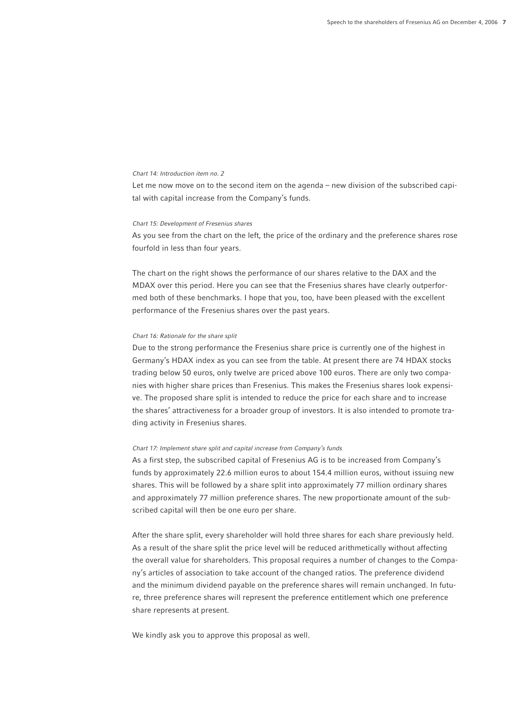#### *Chart 14: Introduction item no. 2*

Let me now move on to the second item on the agenda – new division of the subscribed capital with capital increase from the Company's funds.

#### *Chart 15: Development of Fresenius shares*

As you see from the chart on the left, the price of the ordinary and the preference shares rose fourfold in less than four years.

The chart on the right shows the performance of our shares relative to the DAX and the MDAX over this period. Here you can see that the Fresenius shares have clearly outperformed both of these benchmarks. I hope that you, too, have been pleased with the excellent performance of the Fresenius shares over the past years.

## *Chart 16: Rationale for the share split*

Due to the strong performance the Fresenius share price is currently one of the highest in Germany's HDAX index as you can see from the table. At present there are 74 HDAX stocks trading below 50 euros, only twelve are priced above 100 euros. There are only two companies with higher share prices than Fresenius. This makes the Fresenius shares look expensive. The proposed share split is intended to reduce the price for each share and to increase the shares' attractiveness for a broader group of investors. It is also intended to promote trading activity in Fresenius shares.

#### *Chart 17: Implement share split and capital increase from Company's funds*

As a first step, the subscribed capital of Fresenius AG is to be increased from Company's funds by approximately 22.6 million euros to about 154.4 million euros, without issuing new shares. This will be followed by a share split into approximately 77 million ordinary shares and approximately 77 million preference shares. The new proportionate amount of the subscribed capital will then be one euro per share.

After the share split, every shareholder will hold three shares for each share previously held. As a result of the share split the price level will be reduced arithmetically without affecting the overall value for shareholders. This proposal requires a number of changes to the Company's articles of association to take account of the changed ratios. The preference dividend and the minimum dividend payable on the preference shares will remain unchanged. In future, three preference shares will represent the preference entitlement which one preference share represents at present.

We kindly ask you to approve this proposal as well.